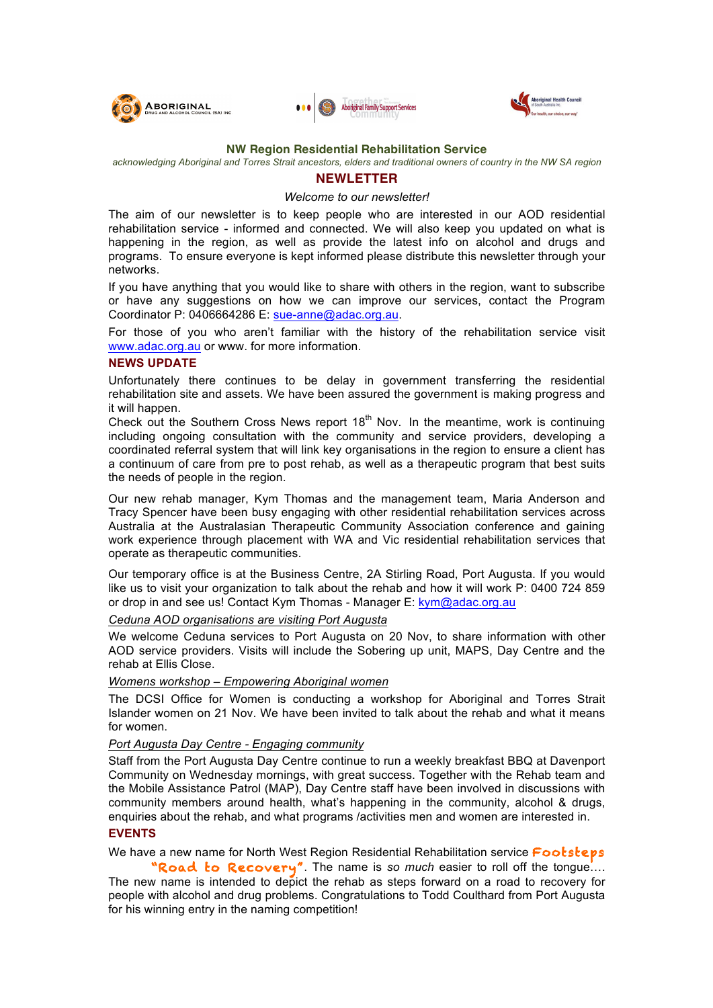





#### **NW Region Residential Rehabilitation Service**

#### *acknowledging Aboriginal and Torres Strait ancestors, elders and traditional owners of country in the NW SA region*

## **NEWLETTER**

#### *Welcome to our newsletter!*

The aim of our newsletter is to keep people who are interested in our AOD residential rehabilitation service - informed and connected. We will also keep you updated on what is happening in the region, as well as provide the latest info on alcohol and drugs and programs. To ensure everyone is kept informed please distribute this newsletter through your networks.

If you have anything that you would like to share with others in the region, want to subscribe or have any suggestions on how we can improve our services, contact the Program Coordinator P: 0406664286 E: sue-anne@adac.org.au.

For those of you who aren't familiar with the history of the rehabilitation service visit www.adac.org.au or www. for more information.

## **NEWS UPDATE**

Unfortunately there continues to be delay in government transferring the residential rehabilitation site and assets. We have been assured the government is making progress and it will happen.

Check out the Southern Cross News report  $18<sup>th</sup>$  Nov. In the meantime, work is continuing including ongoing consultation with the community and service providers, developing a coordinated referral system that will link key organisations in the region to ensure a client has a continuum of care from pre to post rehab, as well as a therapeutic program that best suits the needs of people in the region.

Our new rehab manager, Kym Thomas and the management team, Maria Anderson and Tracy Spencer have been busy engaging with other residential rehabilitation services across Australia at the Australasian Therapeutic Community Association conference and gaining work experience through placement with WA and Vic residential rehabilitation services that operate as therapeutic communities.

Our temporary office is at the Business Centre, 2A Stirling Road, Port Augusta. If you would like us to visit your organization to talk about the rehab and how it will work P: 0400 724 859 or drop in and see us! Contact Kym Thomas - Manager E: kym@adac.org.au

#### *Ceduna AOD organisations are visiting Port Augusta*

We welcome Ceduna services to Port Augusta on 20 Nov, to share information with other AOD service providers. Visits will include the Sobering up unit, MAPS, Day Centre and the rehab at Ellis Close.

#### *Womens workshop – Empowering Aboriginal women*

The DCSI Office for Women is conducting a workshop for Aboriginal and Torres Strait Islander women on 21 Nov. We have been invited to talk about the rehab and what it means for women.

### *Port Augusta Day Centre - Engaging community*

Staff from the Port Augusta Day Centre continue to run a weekly breakfast BBQ at Davenport Community on Wednesday mornings, with great success. Together with the Rehab team and the Mobile Assistance Patrol (MAP), Day Centre staff have been involved in discussions with community members around health, what's happening in the community, alcohol & drugs, enquiries about the rehab, and what programs /activities men and women are interested in.

## **EVENTS**

We have a new name for North West Region Residential Rehabilitation service Footsteps

 "Road to Recovery". The name is *so much* easier to roll off the tongue…. The new name is intended to depict the rehab as steps forward on a road to recovery for people with alcohol and drug problems. Congratulations to Todd Coulthard from Port Augusta for his winning entry in the naming competition!